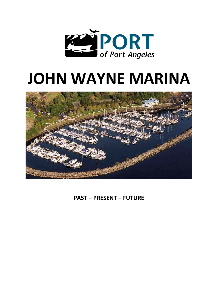

# **JOHN WAYNE MARINA**



**PAST – PRESENT – FUTURE**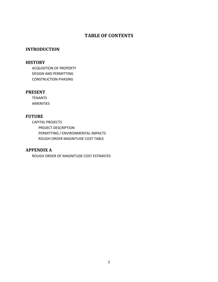# **TABLE OF CONTENTS**

## **INTRODUCTION**

## **HISTORY**

ACQUISITION OF PROPERTY DESIGN AND PERMITTING CONSTRUCTION PHASING

## **PRESENT**

TENANTS AMENITIES

# **FUTURE**

CAPITAL PROJECTS PROJECT DESCRIPTION PERMITTING / ENVIRONMENTAL IMPACTS ROUGH ORDER MAGNITUDE COST TABLE

## **APPENDIX A**

ROUGH ORDER OF MAGNITUDE COST ESTIMATES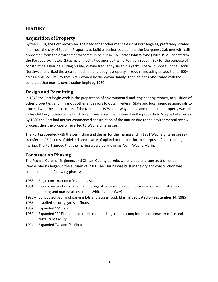# **HISTORY**

# **Acquisition of Property**

By the 1960s, the Port recognized the need for another marina east of Port Angeles, preferably located in or near the city of Sequim. Proposals to build a marina located near the Dungeness Spit met with stiff opposition from the environmental community, but in 1975 actor John Wayne (1907-1979) donated to the Port approximately 25 acres of mostly tidelands at Pitship Point on Sequim Bay for the purpose of constructing a marina. During his life, Wayne frequently sailed his yacht, The Wild Goose, in the Pacific Northwest and liked the area so much that he bought property in Sequim including an additional 100+ acres along Sequim Bay that is still owned by the Wayne family. The tidelands offer came with the condition that marina construction begin by 1980.

## **Design and Permitting**

In 1976 the Port begin work in the preparation of environmental and engineering reports, acquisition of other properties, and in various other endeavors to obtain Federal, State and local agencies approvals to proceed with the construction of the Marina. In 1979 John Wayne died and the marina property was left to his children, subsequently his children transferred their interest in the property to Wayne Enterprises. By 1980 the Port had not yet commenced construction of the marina due to the environmental review process, thus the property reverted to Wayne Enterprises.

The Port proceeded with the permitting and design for the marina and in 1981 Wayne Enterprises retransferred 28.9 acres of tidelands and 1 acre of upland to the Port for the purpose of constructing a marina. The Port agreed that the marina would be known as "John Wayne Marina".

# **Construction Phasing**

The Federal Corps of Engineers and Clallam County permits were issued and construction on John Wayne Marina began in the autumn of 1983. The Marina was built in the dry and construction was conducted in the following phases:

- **1983** Begin construction of marina basin
- **1984** Begin construction of marina moorage structures, upland improvements, administration building and marina access road (Whitefeather Way)
- **1985** Conducted paving of parking lots and access road. **Marina dedicated on September 14, 1985**
- **1986** Installed security gates at floats
- **1987** Expanded "G" Float
- **1989** Expanded "F" Float, constructed south parking lot, and completed harbormaster office and restaurant facility
- **1994** Expanded "C" and "E" Float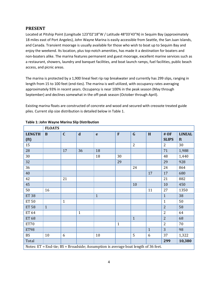## **PRESENT**

Located at Pitship Point (Longitude 123°02'18"W / Latitude 48°03'43"N) in Sequim Bay (approximately 18 miles east of Port Angeles), John Wayne Marina is easily accessible from Seattle, the San Juan Islands, and Canada. Transient moorage is usually available for those who wish to boat up to Sequim Bay and enjoy the weekend. Its location, plus top-notch amenities, has made it a destination for boaters and non-boaters alike. The marina features permanent and guest moorage, excellent marine services such as a restaurant, showers, laundry and banquet facilities, and boat launch ramps, fuel facilities, public beach access, and picnic areas.

The marina is protected by a 1,900 lineal feet rip rap breakwater and currently has 299 slips, ranging in length from 15 to 100 feet (end-ties). The marina is well utilized, with occupancy rates averaging approximately 93% in recent years. Occupancy is near 100% in the peak season (May through September) and declines somewhat in the off-peak season (October through April).

Existing marina floats are constructed of concrete and wood and secured with creosote treated guide piles. Current slip size distribution is detailed below in Table 1.

|                                                                                    | <b>FLOATS</b> |              |              |              |              |                |              |                |               |  |
|------------------------------------------------------------------------------------|---------------|--------------|--------------|--------------|--------------|----------------|--------------|----------------|---------------|--|
| <b>LENGTH</b>                                                                      | $\bf{B}$      | $\mathbf C$  | $\mathbf d$  | $\mathbf{e}$ | F            | $\mathbf G$    | H            | # OF           | <b>LINEAL</b> |  |
| (f <sub>t</sub> )                                                                  |               |              |              |              |              |                |              | <b>SLIPS</b>   | ft            |  |
| 15                                                                                 |               |              |              |              |              | $\overline{2}$ |              | $\overline{2}$ | 30            |  |
| 28                                                                                 |               | 17           | 36           | 18           |              |                |              | 71             | 1,988         |  |
| 30                                                                                 |               |              |              | 18           | 30           |                |              | 48             | 1,440         |  |
| 32                                                                                 |               |              |              |              | 29           |                |              | 29             | 928           |  |
| 36                                                                                 |               |              |              |              |              | 24             |              | 24             | 864           |  |
| 40                                                                                 |               |              |              |              |              |                | 17           | 17             | 680           |  |
| 42                                                                                 |               | 21           |              |              |              |                |              | 21             | 882           |  |
| 45                                                                                 |               |              |              |              |              | 10             |              | 10             | 450           |  |
| 50                                                                                 | 16            |              |              |              |              |                | 11           | 27             | 1350          |  |
| <b>ET 38</b>                                                                       |               |              |              | $\mathbf{1}$ |              |                |              | $\mathbf{1}$   | 38            |  |
| <b>ET 50</b>                                                                       |               | $\mathbf{1}$ |              |              |              |                |              | $\mathbf{1}$   | 50            |  |
| <b>ET 58</b>                                                                       | $\mathbf{1}$  |              |              |              |              |                |              | $\overline{2}$ | 58            |  |
| <b>ET 64</b>                                                                       |               |              | $\mathbf{1}$ |              |              |                |              | $\overline{2}$ | 64            |  |
| <b>ET 68</b>                                                                       |               |              |              |              |              | $\mathbf{1}$   |              | $\overline{2}$ | 68            |  |
| <b>ET70</b>                                                                        |               |              |              |              | $\mathbf{1}$ |                |              | $\overline{2}$ | 70            |  |
| <b>ET98</b>                                                                        |               |              |              |              |              |                | $\mathbf{1}$ | 3              | 98            |  |
| <b>BS</b>                                                                          | 10            | 6            |              | 10           |              | 5              | 6            | 37             | 1,322         |  |
| Total                                                                              |               |              |              |              |              |                |              | 299            | 10,380        |  |
| Notes: ET = End-tie; BS = Broadside; Assumption is average boat length of 36 feet. |               |              |              |              |              |                |              |                |               |  |

#### **Table 1: John Wayne Marina Slip Distribution**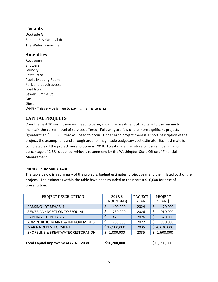# **Tenants**

Dockside Grill Sequim Bay Yacht Club The Water Limousine

# **Amenities**

Restrooms **Showers** Laundry Restaurant Public Meeting Room Park and beach access Boat launch Sewer Pump-Out Gas Diesel Wi-Fi - This service is free to paying marina tenants

# **CAPITAL PROJECTS**

Over the next 20 years there will need to be significant reinvestment of capital into the marina to maintain the current level of services offered. Following are few of the more significant projects (greater than \$500,000) that will need to occur. Under each project there is a short description of the project, the assumptions and a rough order of magnitude budgetary cost estimate. Each estimate is completed as if the project were to occur in 2018. To estimate the future cost an annual inflation percentage of 2.8% is applied, which is recommend by the Washington State Office of Financial Management.

## **PROJECT SUMMARY TABLE**

The table below is a summary of the projects, budget estimates, project year and the inflated cost of the project. The estimates within the table have been rounded to the nearest \$10,000 for ease of presentation.

| PROJECT DESCRIOPTION               | 2018\$<br>(ROUNDED) | <b>PROJECT</b><br><b>YEAR</b> | PROJECT<br>YEAR\$ |
|------------------------------------|---------------------|-------------------------------|-------------------|
| <b>PARKING LOT REHAB. 1</b>        | 400,000             | 2024                          | 470,000           |
| SEWER CONNCECTION TO SEQUIM        | 730,000             | 2026                          | 910,000<br>\$     |
| <b>PARKING LOT REHAB. 2</b>        | 420,000             | 2026                          | 520,000<br>\$     |
| ADMIN. BLDG. MAINT. & IMPROVEMENTS | 750,000             | 2027                          | 960,000<br>Ś      |
| <b>MARINA REDEVELOPMENT</b>        | \$12,900,000        | 2035                          | \$20,630,000      |
| SHORELINE & BREAKWATER RESTORATION | 1,000,000           | 2035                          | 1,600,000         |

**Total Capital Improvements 2023-2038 \$16,200,000 \$25,090,000**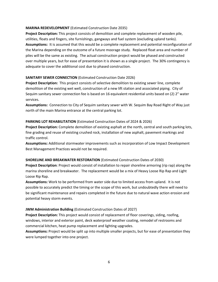#### **MARINA REDEVELOPMENT** (Estimated Construction Date 2035)

**Project Description:** This project consists of demolition and complete replacement of wooden pile, utilities, floats and fingers, site furnishings, gangways and fuel system (excluding upland tanks). **Assumptions:** It is assumed that this would be a complete replacement and potential reconfiguration of the Marina depending on the outcome of a future moorage study. Replaced float area and number of piles will be the same as existing. The actual construction project would be phased and constructed over multiple years, but for ease of presentation it is shown as a single project. The 30% contingency is adequate to cover the additional cost due to phased construction.

## **SANITARY SEWER CONNECTION** (Estimated Construction Date 2026)

**Project Description:** This project consists of selective demolition to existing sewer line, complete demolition of the existing wet well, construction of a new lift station and associated piping. City of Sequim sanitary sewer connection fee is based on 16 equivalent residential units based on (2) 2" water services.

**Assumptions:** Connection to City of Sequim sanitary sewer with W. Sequim Bay Road Right of Way just north of the main Marina entrance at the central parking lot.

#### **PARKING LOT REHABILITATION** (Estimated Construction Dates of 2024 & 2026)

**Project Description:** Complete demolition of existing asphalt at the north, central and south parking lots, fine grading and reuse of existing crushed rock, installation of new asphalt, pavement markings and traffic control.

**Assumptions:** Additional stormwater improvements such as incorporation of Low Impact Development Best Management Practices would not be required.

## **SHORELINE AND BREAKWATER RESTORATION** (Estimated Construction Dates of 2030)

**Project Description**: Project would consist of installation to repair shoreline armoring (rip rap) along the marina shoreline and breakwater. The replacement would be a mix of Heavy Loose Rip Rap and Light Loose Rip Rap.

**Assumptions:** Work to be performed from water side due to limited access from upland. It is not possible to accurately predict the timing or the scope of this work, but undoubtedly there will need to be significant maintenance and repairs completed in the future due to natural wave action erosion and potential heavy storm events.

## **JWM Administration Building** (Estimated Construction Dates of 2027)

**Project Description:** This project would consist of replacement of floor coverings, siding, roofing, windows, interior and exterior paint, deck waterproof weather coating, remodel of restrooms and commercial kitchen, heat pump replacement and lighting upgrades.

**Assumptions:** Project would be split up into multiple smaller projects, but for ease of presentation they were lumped together into one project.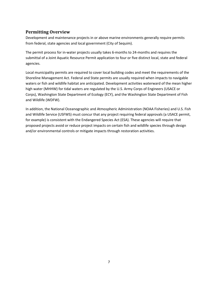# **Permitting Overview**

Development and maintenance projects in or above marine environments generally require permits from federal, state agencies and local government (City of Sequim).

The permit process for in-water projects usually takes 6-months to 24-months and requires the submittal of a Joint Aquatic Resource Permit application to four or five distinct local, state and federal agencies.

Local municipality permits are required to cover local building codes and meet the requirements of the Shoreline Management Act. Federal and State permits are usually required when impacts to navigable waters or fish and wildlife habitat are anticipated. Development activities waterward of the mean higher high water (MHHW) for tidal waters are regulated by the U.S. Army Corps of Engineers (USACE or Corps), Washington State Department of Ecology (ECY), and the Washington State Department of Fish and Wildlife (WDFW).

In addition, the National Oceanographic and Atmospheric Administration (NOAA Fisheries) and U.S. Fish and Wildlife Service (USFWS) must concur that any project requiring federal approvals (a USACE permit, for example) is consistent with the Endangered Species Act (ESA). These agencies will require that proposed projects avoid or reduce project impacts on certain fish and wildlife species through design and/or environmental controls or mitigate impacts through restoration activities.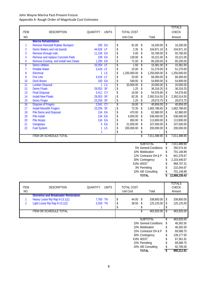## John Wayne Marina Past-Present-Future Appendix A: Rough Order of Magnitude Cost Estimates

|                |                                        |           |                 |                    |              |                       | TOTALS              |
|----------------|----------------------------------------|-----------|-----------------|--------------------|--------------|-----------------------|---------------------|
| <b>ITEM</b>    | <b>DESCRIPTION</b>                     | QUANTITY  | <b>UNITS</b>    | <b>TOTAL COST</b>  |              |                       | CHECK               |
| NO.            |                                        |           |                 | <b>Unit Cost</b>   |              | Total                 | Amount              |
|                | <b>Marina Rehabilitation</b>           |           |                 |                    |              |                       |                     |
| 1              | <b>Remove Reinstall Rubber Bumpers</b> | 200 EA    |                 | \$<br>81.00        | \$           | 16,200.00             | \$<br>16,200.00     |
| $\overline{2}$ | Demo Walers and rub boards             | 44,626 LF |                 | \$<br>2.35         | \$           | 104,871.10            | \$<br>104,871.10    |
| 3              | Remove through rods                    | 11,156 EA |                 | \$<br>5.00         | \$           | 55,780.00             | \$<br>55,780.00     |
| 4              | Remove and replace Concrete Pads       | 239 EA    |                 | \$<br>139.00       | \$           | 33,221.00             | \$<br>33,221.00     |
| 5              | Remove Existing and install new Cleats | 1,200 EA  |                 | \$<br>71.00        | \$           | 85,200.00             | \$<br>85,200.00     |
| 6              | <b>Demo Utilities</b>                  | 10,254 LF |                 | \$<br>1.50         | \$           | 15,381.00             | \$<br>15,381.00     |
| $\overline{7}$ | <b>Potable Water</b>                   | 3,418 LF  |                 | \$<br>15.00        | \$           | 51,270.00             | \$<br>51,270.00     |
| 8              | Electrical                             |           | 1 <sub>LS</sub> | \$<br>1,250,000.00 | \$           | 1,250,000.00          | \$<br>1,250,000.00  |
| 9              | <b>Fire Line</b>                       | 3,418 LF  |                 | \$<br>20.00        | \$           | 68,360.00             | \$<br>68,360.00     |
| 10             | <b>Dock Boxes</b>                      | 100 EA    |                 | \$<br>549.00       | \$           | 54,900.00             | \$<br>54,900.00     |
| 11             | <b>Lumber Disposal</b>                 | 1         | <b>LS</b>       | \$<br>20,000.00    | \$           | 20,000.00             | \$<br>20,000.00     |
| 12             | <b>Demo Floats</b>                     | 29,053 SF |                 | \$<br>1.25         | \$           | 36,316.25             | \$<br>36,316.25     |
| 13             | <b>Float Disposal</b>                  | 3,411 CY  |                 | \$<br>16.00        | \$           | 54,576.60             | \$<br>54,576.60     |
| 14             | <b>Install New Floats</b>              | 29,053 SF |                 | \$<br>82.35        | \$           | 2,392,514.55          | \$<br>2,392,514.55  |
| 15             | <b>Demo Finger</b>                     | 23,259 SF |                 | \$<br>1.25         | \$           | 29,073.75             | \$<br>29,073.75     |
| 16             | <b>Dispose of Fingers</b>              | 2,541 CY  |                 | \$<br>16.00        | \$           | 40,656.00             | \$<br>40,656.00     |
| 17             | <b>Install Monolith Fingers</b>        | 23,259 SF |                 | \$<br>72.35        | \$           | 1,682,788.65          | \$<br>1,682,788.65  |
| 18             | <b>Pile Demo and Disposal</b>          | 134 EA    |                 | \$<br>470.00       | \$           | 62,980.00             | \$<br>62,980.00     |
| 19             | Pile Install                           | 134 EA    |                 | \$<br>4,000.00     | \$           | 536,000.00            | \$<br>536,000.00    |
| 20             | <b>Pile Hoops</b>                      | 134 EA    |                 | \$<br>850.00       | \$           | 113,900.00            | \$<br>113,900.00    |
| 21             | Gangways                               | 5         | EA              | \$<br>21,500.00    | \$           | 107,500.00            | \$<br>107,500.00    |
| 22             | <b>Fuel System</b>                     | 1         | LS              | \$<br>200,000.00   | \$           | 200,000.00            | \$<br>200,000.00    |
|                |                                        | 1         |                 | \$                 | \$           |                       | \$                  |
|                | <b>ITEM OR SCHEDULE TOTAL</b>          |           |                 |                    | \$           | 7,011,488.90          | \$<br>7,011,488.90  |
|                |                                        |           |                 |                    |              |                       |                     |
|                |                                        |           |                 |                    |              | <b>SUBTOTAL</b>       | \$<br>7,011,488.90  |
|                |                                        |           |                 |                    |              | 5% General Conditions | \$<br>350,574.44    |
|                |                                        |           |                 |                    |              | 10% Mobilization      | \$<br>701,148.89    |
|                |                                        |           |                 |                    |              | 12% Contractor OH & P | \$<br>841,378.67    |
|                |                                        |           |                 |                    |              | 30% Contingency       | \$<br>2,103,446.67  |
|                |                                        |           |                 | 8.8% WSST          |              |                       | \$<br>968,707.31    |
|                |                                        |           |                 |                    |              | 3% Permitting         | \$<br>210,344.67    |
|                |                                        |           |                 |                    |              | 10% A/E Consulting    | \$<br>701,148.89    |
|                |                                        |           |                 |                    | <b>TOTAL</b> |                       | \$<br>12,888,238.43 |

| <b>ITEM</b><br>NO. | <b>DESCRIPTION</b>                          | QUANTITY | <b>UNITS</b> | <b>TOTAL COST</b><br>Unit Cost |                  | Total                  |     | TOTALS<br><b>CHECK</b><br>Amount |
|--------------------|---------------------------------------------|----------|--------------|--------------------------------|------------------|------------------------|-----|----------------------------------|
|                    | <b>Shoreline and Breakwater Restoration</b> |          |              |                                |                  |                        |     |                                  |
|                    | Heavy Loose Rip Rap 9-13.1(1)               | 7,700 TN |              | 44.00                          | -S               | 338,800.00             | S.  | 338,800.00                       |
| 2                  | Light Loose Rip Rap 9-13.1(2)               | 3,250 TN |              | 38.50                          |                  | 125,125.00             | S   | 125,125.00                       |
|                    |                                             |          |              |                                |                  |                        |     |                                  |
|                    | <b>ITEM OR SCHEDULE TOTAL</b>               |          |              |                                |                  | 463.925.00             |     | 463.925.00                       |
|                    |                                             |          |              |                                |                  |                        |     |                                  |
|                    |                                             |          |              |                                | <b>SUBTOTAL</b>  |                        |     | 463,925.00                       |
|                    |                                             |          |              |                                |                  | 10% General Conditions | Ъ   | 46,392.50                        |
|                    |                                             |          |              |                                | 10% Mobilization |                        |     | 46,392.50                        |
|                    |                                             |          |              |                                |                  | 15% Contractor OH & P  | \$. | 69,588.75                        |
|                    |                                             |          |              |                                | 30% Contingency  |                        |     | 139,177.50                       |
|                    |                                             |          |              |                                | 8.8% WSST        |                        |     | 67,361.91                        |
|                    |                                             |          |              |                                | 15% Permitting   |                        |     | 69,588.75                        |
|                    |                                             |          |              |                                |                  | 20% A/E Consulting     |     | 92,785.00                        |
|                    |                                             |          |              |                                | TOTAL            |                        |     | 995,211.91                       |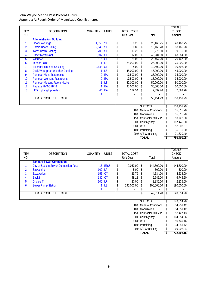## John Wayne Marina Past-Present-Future Appendix A: Rough Order of Magnitude Cost Estimates

| <b>ITEM</b><br>NO. | <b>DESCRIPTION</b>                     | <b>QUANTITY</b> | <b>UNITS</b>    | <b>TOTAL COST</b><br>Unit Cost |              | Total                  |    | TOTALS<br><b>CHECK</b><br>Amount |
|--------------------|----------------------------------------|-----------------|-----------------|--------------------------------|--------------|------------------------|----|----------------------------------|
|                    | <b>Administration Building</b>         |                 |                 |                                |              |                        |    |                                  |
| 1                  | <b>Floor Coverings</b>                 | 4,555 SF        |                 | \$<br>6.25                     | \$           | 28,468.75              | \$ | 28,468.75                        |
| $\overline{2}$     | <b>Hardie Board Siding</b>             | 2,648 SF        |                 | \$<br>6.86                     | \$           | 18,165.28              | \$ | 18,165.28                        |
| 3                  | <b>Torch Down Roofing</b>              | 700 SF          |                 | \$<br>13.25                    | \$           | 9.275.00               | \$ | 9.275.00                         |
| 4                  | <b>Sheet Metal Roof</b>                | 3,607 SF        |                 | \$<br>12.00                    | \$           | 43,284.00              | \$ | 43,284.00                        |
| 5                  | <b>Windows</b>                         | 816 SF          |                 | \$<br>25.08                    | \$           | 20,467.20              | \$ | 20,467.20                        |
| 6                  | <b>Interior Paint</b>                  |                 | <b>LS</b>       | \$<br>25,000.00                | \$           | 25,000.00              | \$ | 25,000.00                        |
|                    | <b>Exterior Paint and Caulking</b>     | 2,648 SF        |                 | \$<br>4.00                     | \$           | 10,592.00              | \$ | 10,592.00                        |
| 8                  | <b>Deck Waterproof Weather Coating</b> |                 | 1 <sub>LS</sub> | \$<br>45,000.00                | \$           | 45,000.00              | \$ | 45,000.00                        |
| 9                  | <b>Remodel Mens Restrooms</b>          |                 | 2 EA            | \$<br>17,500.00                | \$           | 35,000.00              | \$ | 35,000.00                        |
| 10                 | <b>Remodel Womens Restrooms</b>        |                 | 2 EA            | \$<br>17,500.00                | \$           | 35,000.00              | \$ | 35,000.00                        |
| 11                 | <b>Remodel Meeting Room Kitchen</b>    |                 | <b>LS</b>       | \$<br>50,000.00                | \$           | 50,000.00              | \$ | 50,000.00                        |
| 12                 | Replace HVAC HP-3                      |                 | EA              | \$<br>30,000.00                | \$           | 30,000.00              | \$ | 30,000.00                        |
| 13                 | <b>LED Lighting Upgrades</b>           |                 | 44 EA           | \$<br>179.54                   | \$           | 7,899.76               | \$ | 7,899.76                         |
|                    |                                        | 1               |                 | \$                             |              |                        | \$ |                                  |
|                    | <b>ITEM OR SCHEDULE TOTAL</b>          |                 |                 |                                | \$           | 358,151.99             | \$ | 358,151.99                       |
|                    |                                        |                 |                 |                                |              |                        |    |                                  |
|                    |                                        |                 |                 |                                |              | <b>SUBTOTAL</b>        |    | 358,151.99                       |
|                    |                                        |                 |                 |                                |              | 10% General Conditions | \$ | 35,815.20                        |
|                    |                                        |                 |                 |                                |              | 10% Mobilization       | \$ | 35,815.20                        |
|                    |                                        |                 |                 |                                |              | 15% Contractor OH & P  | \$ | 53,722.80                        |
|                    |                                        |                 |                 |                                |              | 30% Contingency        |    | 107,445.60                       |
|                    |                                        |                 |                 | 8.8% WSST                      |              |                        |    | 52,003.67                        |
|                    |                                        |                 |                 |                                |              | 10% Permitting         |    | 35,815.20                        |
|                    |                                        |                 |                 | 20% A/E Consulting             |              |                        |    | 71,630.40                        |
|                    |                                        |                 |                 |                                | <b>TOTAL</b> |                        | \$ | 750,400.05                       |

| <b>ITEM</b><br>NO. | <b>DESCRIPTION</b>                          | <b>QUANTITY</b> | <b>UNITS</b>  | TOTAL COST<br>Unit Cost | Total                  | TOTALS<br><b>CHECK</b><br>Amount |
|--------------------|---------------------------------------------|-----------------|---------------|-------------------------|------------------------|----------------------------------|
|                    | <b>Sanitary Sewer Connection</b>            |                 |               |                         |                        |                                  |
|                    | <b>City of Sequim Sewer Connection Fees</b> |                 | <b>16 ERU</b> | \$<br>9,050.00          | 144,800.00<br>-S       | \$<br>144,800.00                 |
| 2                  | Sawcutting                                  | 100 LF          |               | 5.00                    | 500.00<br>S            | \$<br>500.00                     |
| 3                  | <b>Excavation</b>                           |                 | 156 CY        | 29.79                   | 4,634.00               | \$<br>4,634.00                   |
| 4                  | <b>Backfill</b>                             |                 | 140 CY        | 48.18                   | 6,745.20               | \$<br>6,745.20                   |
| 5                  | DI pipe 4"                                  | 105 LF          |               | \$<br>27.00             | 2,835.00<br>S          | \$<br>2,835.00                   |
| 6                  | <b>Sewer Pump Station</b>                   |                 | <b>LS</b>     | \$<br>190,000.00        | 190,000.00             | \$<br>190,000.00                 |
|                    |                                             |                 |               |                         |                        |                                  |
|                    | <b>ITEM OR SCHEDULE TOTAL</b>               |                 |               |                         | 349,514.20             | 349,514.20                       |
|                    |                                             |                 |               |                         |                        |                                  |
|                    |                                             |                 |               |                         | <b>SUBTOTAL</b>        | 349,514.20                       |
|                    |                                             |                 |               |                         | 10% General Conditions | 34,951.42                        |
|                    |                                             |                 |               |                         | 10% Mobilization       | 34,951.42                        |
|                    |                                             |                 |               |                         | 15% Contractor OH & P  | 52,427.13                        |
|                    |                                             |                 |               |                         | 30% Contingency        | 104,854.26                       |
|                    |                                             |                 |               |                         | 8.8% WSST              | 50,749.46                        |
|                    |                                             |                 |               |                         | 10% Permitting         | 34,951.42                        |
|                    |                                             |                 |               |                         | 20% A/E Consulting     | 69,902.84                        |
|                    |                                             |                 |               |                         | <b>TOTAL</b>           | 732,302.15                       |